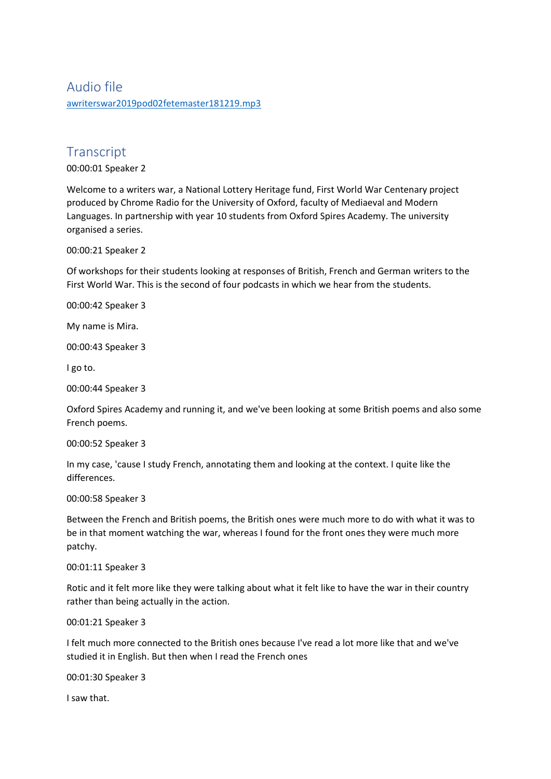## Audio file [awriterswar2019pod02fetemaster181219.mp3](https://unioxfordnexus-my.sharepoint.com/personal/etrc0002_ox_ac_uk/Documents/Transcribed%20Files/awriterswar2019pod02fetemaster181219.mp3)

# **Transcript**

00:00:01 Speaker 2

Welcome to a writers war, a National Lottery Heritage fund, First World War Centenary project produced by Chrome Radio for the University of Oxford, faculty of Mediaeval and Modern Languages. In partnership with year 10 students from Oxford Spires Academy. The university organised a series.

00:00:21 Speaker 2

Of workshops for their students looking at responses of British, French and German writers to the First World War. This is the second of four podcasts in which we hear from the students.

00:00:42 Speaker 3

My name is Mira.

00:00:43 Speaker 3

I go to.

00:00:44 Speaker 3

Oxford Spires Academy and running it, and we've been looking at some British poems and also some French poems.

00:00:52 Speaker 3

In my case, 'cause I study French, annotating them and looking at the context. I quite like the differences.

00:00:58 Speaker 3

Between the French and British poems, the British ones were much more to do with what it was to be in that moment watching the war, whereas I found for the front ones they were much more patchy.

00:01:11 Speaker 3

Rotic and it felt more like they were talking about what it felt like to have the war in their country rather than being actually in the action.

00:01:21 Speaker 3

I felt much more connected to the British ones because I've read a lot more like that and we've studied it in English. But then when I read the French ones

00:01:30 Speaker 3

I saw that.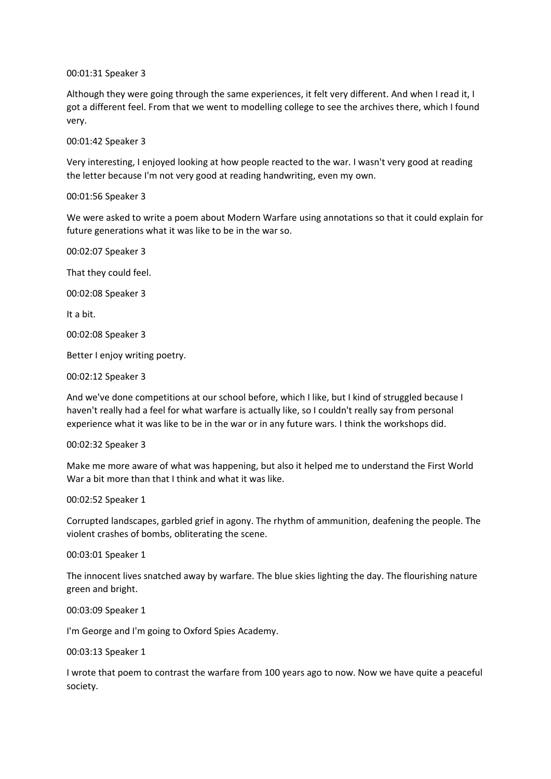00:01:31 Speaker 3

Although they were going through the same experiences, it felt very different. And when I read it, I got a different feel. From that we went to modelling college to see the archives there, which I found very.

00:01:42 Speaker 3

Very interesting, I enjoyed looking at how people reacted to the war. I wasn't very good at reading the letter because I'm not very good at reading handwriting, even my own.

00:01:56 Speaker 3

We were asked to write a poem about Modern Warfare using annotations so that it could explain for future generations what it was like to be in the war so.

00:02:07 Speaker 3 That they could feel.

00:02:08 Speaker 3

It a bit.

00:02:08 Speaker 3

Better I enjoy writing poetry.

00:02:12 Speaker 3

And we've done competitions at our school before, which I like, but I kind of struggled because I haven't really had a feel for what warfare is actually like, so I couldn't really say from personal experience what it was like to be in the war or in any future wars. I think the workshops did.

## 00:02:32 Speaker 3

Make me more aware of what was happening, but also it helped me to understand the First World War a bit more than that I think and what it was like.

00:02:52 Speaker 1

Corrupted landscapes, garbled grief in agony. The rhythm of ammunition, deafening the people. The violent crashes of bombs, obliterating the scene.

00:03:01 Speaker 1

The innocent lives snatched away by warfare. The blue skies lighting the day. The flourishing nature green and bright.

00:03:09 Speaker 1

I'm George and I'm going to Oxford Spies Academy.

00:03:13 Speaker 1

I wrote that poem to contrast the warfare from 100 years ago to now. Now we have quite a peaceful society.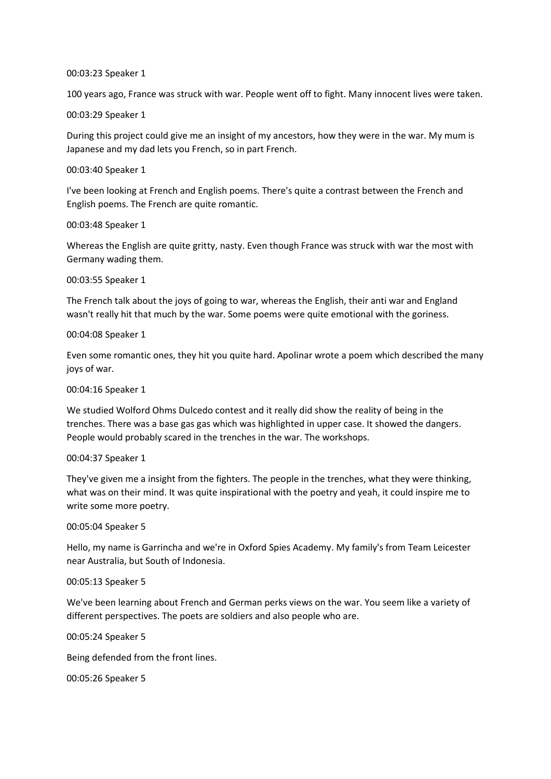#### 00:03:23 Speaker 1

100 years ago, France was struck with war. People went off to fight. Many innocent lives were taken.

00:03:29 Speaker 1

During this project could give me an insight of my ancestors, how they were in the war. My mum is Japanese and my dad lets you French, so in part French.

#### 00:03:40 Speaker 1

I've been looking at French and English poems. There's quite a contrast between the French and English poems. The French are quite romantic.

## 00:03:48 Speaker 1

Whereas the English are quite gritty, nasty. Even though France was struck with war the most with Germany wading them.

#### 00:03:55 Speaker 1

The French talk about the joys of going to war, whereas the English, their anti war and England wasn't really hit that much by the war. Some poems were quite emotional with the goriness.

## 00:04:08 Speaker 1

Even some romantic ones, they hit you quite hard. Apolinar wrote a poem which described the many joys of war.

## 00:04:16 Speaker 1

We studied Wolford Ohms Dulcedo contest and it really did show the reality of being in the trenches. There was a base gas gas which was highlighted in upper case. It showed the dangers. People would probably scared in the trenches in the war. The workshops.

#### 00:04:37 Speaker 1

They've given me a insight from the fighters. The people in the trenches, what they were thinking, what was on their mind. It was quite inspirational with the poetry and yeah, it could inspire me to write some more poetry.

## 00:05:04 Speaker 5

Hello, my name is Garrincha and we're in Oxford Spies Academy. My family's from Team Leicester near Australia, but South of Indonesia.

## 00:05:13 Speaker 5

We've been learning about French and German perks views on the war. You seem like a variety of different perspectives. The poets are soldiers and also people who are.

00:05:24 Speaker 5

Being defended from the front lines.

00:05:26 Speaker 5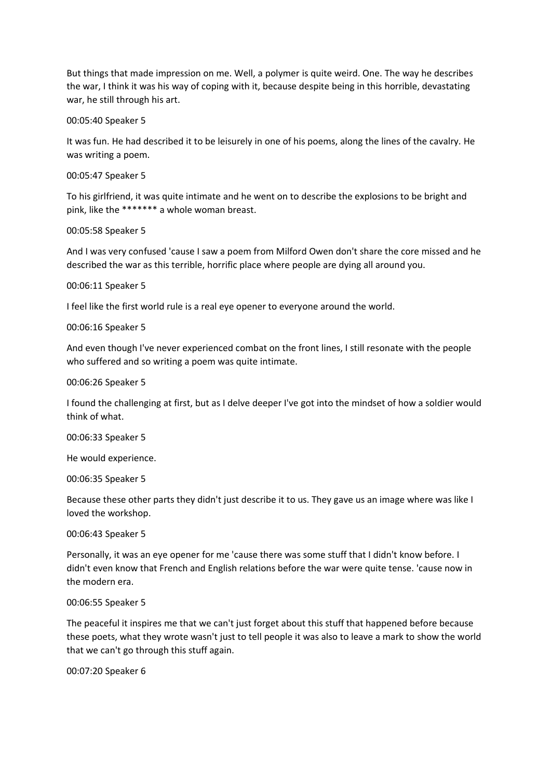But things that made impression on me. Well, a polymer is quite weird. One. The way he describes the war, I think it was his way of coping with it, because despite being in this horrible, devastating war, he still through his art.

00:05:40 Speaker 5

It was fun. He had described it to be leisurely in one of his poems, along the lines of the cavalry. He was writing a poem.

00:05:47 Speaker 5

To his girlfriend, it was quite intimate and he went on to describe the explosions to be bright and pink, like the \*\*\*\*\*\*\* a whole woman breast.

00:05:58 Speaker 5

And I was very confused 'cause I saw a poem from Milford Owen don't share the core missed and he described the war as this terrible, horrific place where people are dying all around you.

00:06:11 Speaker 5

I feel like the first world rule is a real eye opener to everyone around the world.

00:06:16 Speaker 5

And even though I've never experienced combat on the front lines, I still resonate with the people who suffered and so writing a poem was quite intimate.

00:06:26 Speaker 5

I found the challenging at first, but as I delve deeper I've got into the mindset of how a soldier would think of what.

00:06:33 Speaker 5

He would experience.

00:06:35 Speaker 5

Because these other parts they didn't just describe it to us. They gave us an image where was like I loved the workshop.

## 00:06:43 Speaker 5

Personally, it was an eye opener for me 'cause there was some stuff that I didn't know before. I didn't even know that French and English relations before the war were quite tense. 'cause now in the modern era.

00:06:55 Speaker 5

The peaceful it inspires me that we can't just forget about this stuff that happened before because these poets, what they wrote wasn't just to tell people it was also to leave a mark to show the world that we can't go through this stuff again.

00:07:20 Speaker 6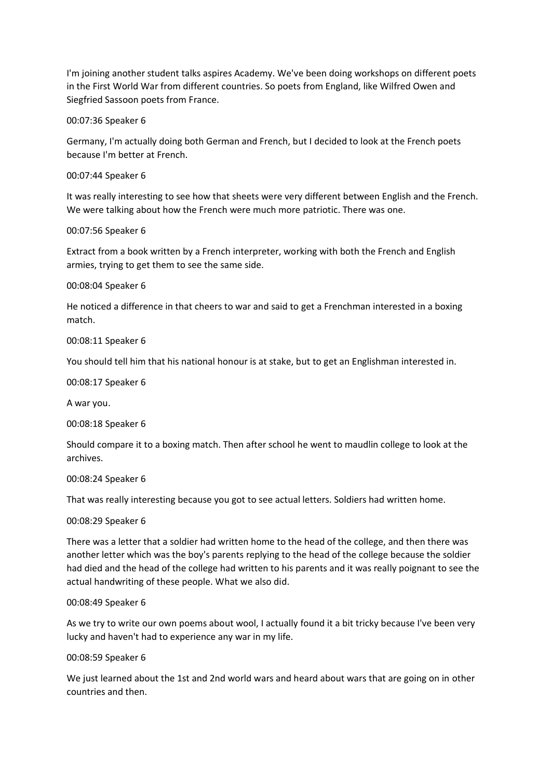I'm joining another student talks aspires Academy. We've been doing workshops on different poets in the First World War from different countries. So poets from England, like Wilfred Owen and Siegfried Sassoon poets from France.

00:07:36 Speaker 6

Germany, I'm actually doing both German and French, but I decided to look at the French poets because I'm better at French.

00:07:44 Speaker 6

It was really interesting to see how that sheets were very different between English and the French. We were talking about how the French were much more patriotic. There was one.

00:07:56 Speaker 6

Extract from a book written by a French interpreter, working with both the French and English armies, trying to get them to see the same side.

00:08:04 Speaker 6

He noticed a difference in that cheers to war and said to get a Frenchman interested in a boxing match.

00:08:11 Speaker 6

You should tell him that his national honour is at stake, but to get an Englishman interested in.

00:08:17 Speaker 6

A war you.

00:08:18 Speaker 6

Should compare it to a boxing match. Then after school he went to maudlin college to look at the archives.

00:08:24 Speaker 6

That was really interesting because you got to see actual letters. Soldiers had written home.

00:08:29 Speaker 6

There was a letter that a soldier had written home to the head of the college, and then there was another letter which was the boy's parents replying to the head of the college because the soldier had died and the head of the college had written to his parents and it was really poignant to see the actual handwriting of these people. What we also did.

00:08:49 Speaker 6

As we try to write our own poems about wool, I actually found it a bit tricky because I've been very lucky and haven't had to experience any war in my life.

00:08:59 Speaker 6

We just learned about the 1st and 2nd world wars and heard about wars that are going on in other countries and then.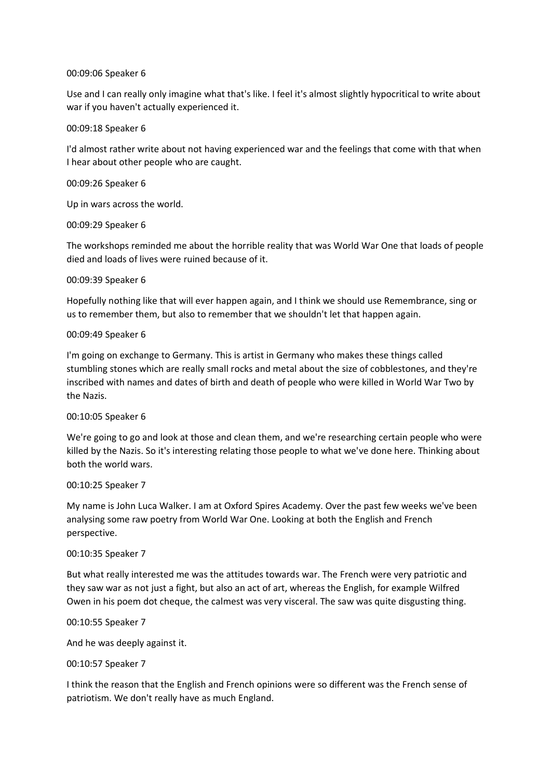## 00:09:06 Speaker 6

Use and I can really only imagine what that's like. I feel it's almost slightly hypocritical to write about war if you haven't actually experienced it.

## 00:09:18 Speaker 6

I'd almost rather write about not having experienced war and the feelings that come with that when I hear about other people who are caught.

## 00:09:26 Speaker 6

Up in wars across the world.

## 00:09:29 Speaker 6

The workshops reminded me about the horrible reality that was World War One that loads of people died and loads of lives were ruined because of it.

## 00:09:39 Speaker 6

Hopefully nothing like that will ever happen again, and I think we should use Remembrance, sing or us to remember them, but also to remember that we shouldn't let that happen again.

## 00:09:49 Speaker 6

I'm going on exchange to Germany. This is artist in Germany who makes these things called stumbling stones which are really small rocks and metal about the size of cobblestones, and they're inscribed with names and dates of birth and death of people who were killed in World War Two by the Nazis.

## 00:10:05 Speaker 6

We're going to go and look at those and clean them, and we're researching certain people who were killed by the Nazis. So it's interesting relating those people to what we've done here. Thinking about both the world wars.

## 00:10:25 Speaker 7

My name is John Luca Walker. I am at Oxford Spires Academy. Over the past few weeks we've been analysing some raw poetry from World War One. Looking at both the English and French perspective.

## 00:10:35 Speaker 7

But what really interested me was the attitudes towards war. The French were very patriotic and they saw war as not just a fight, but also an act of art, whereas the English, for example Wilfred Owen in his poem dot cheque, the calmest was very visceral. The saw was quite disgusting thing.

## 00:10:55 Speaker 7

And he was deeply against it.

## 00:10:57 Speaker 7

I think the reason that the English and French opinions were so different was the French sense of patriotism. We don't really have as much England.